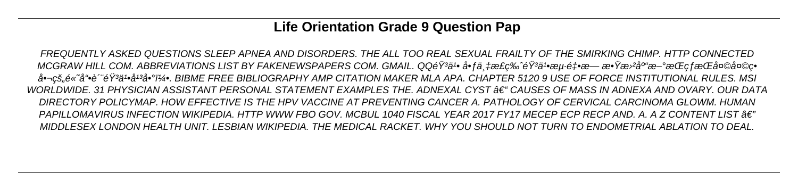# **Life Orientation Grade 9 Question Pap**

FREQUENTLY ASKED QUESTIONS SLEEP APNEA AND DISORDERS. THE ALL TOO REAL SEXUAL FRAILTY OF THE SMIRKING CHIMP. HTTP CONNECTED MCGRAW HILL COM. ABBREVIATIONS LIST BY FAKENEWSPAPERS COM. GMAIL. QQéŸä1• 啃万æ£ç‰ˆéŸªä1•海釕æ— æ•Ÿæ᠈ªåº"æ–°æŒçƒæŒå¤©å¤©ç• 啬çš"é«~å"•è ˝"韪ä1•å1ªå•°ï¼•. BIBME FREE BIBLIOGRAPHY AMP CITATION MAKER MLA APA. CHAPTER 5120 9 USE OF FORCE INSTITUTIONAL RULES. MSI WORLDWIDE. 31 PHYSICIAN ASSISTANT PERSONAL STATEMENT EXAMPLES THE. ADNEXAL CYST †" CAUSES OF MASS IN ADNEXA AND OVARY. OUR DATA DIRECTORY POLICYMAP. HOW EFFECTIVE IS THE HPV VACCINE AT PREVENTING CANCER A. PATHOLOGY OF CERVICAL CARCINOMA GLOWM. HUMAN PAPILLOMAVIRUS INFECTION WIKIPEDIA. HTTP WWW FBO GOV. MCBUL 1040 FISCAL YEAR 2017 FY17 MECEP ECP RECP AND. A. A Z CONTENT LIST  $A\in\mathbb{Z}^n$ MIDDLESEX LONDON HEALTH UNIT. LESBIAN WIKIPEDIA. THE MEDICAL RACKET. WHY YOU SHOULD NOT TURN TO ENDOMETRIAL ABLATION TO DEAL.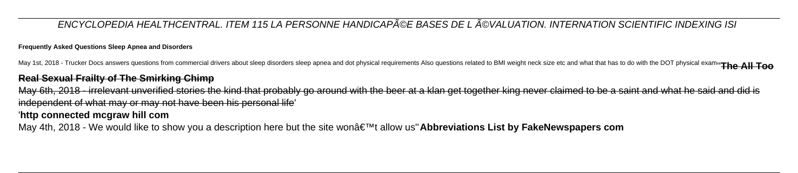### ENCYCLOPEDIA HEALTHCENTRAL. ITEM 115 LA PERSONNE HANDICAPéE BASES DE LéVALUATION. INTERNATION SCIENTIFIC INDEXING ISI

### **Frequently Asked Questions Sleep Apnea and Disorders**

May 1st, 2018 - Trucker Docs answers questions from commercial drivers about sleep disorders sleep apnea and dot physical requirements Also questions related to BMI weight neck size etc and what that has to do with the DOT

May 6th, 2018 - irrelevant unverified stories the kind that probably go around with the beer at a klan get together king never claimed to be a saint and what he said and did is independent of what may or may not have been his personal life'

### **Real Sexual Frailty of The Smirking Chimp**

### '**http connected mcgraw hill com**

May 4th, 2018 - We would like to show you a description here but the site won't allow us"**Abbreviations List by FakeNewspapers com**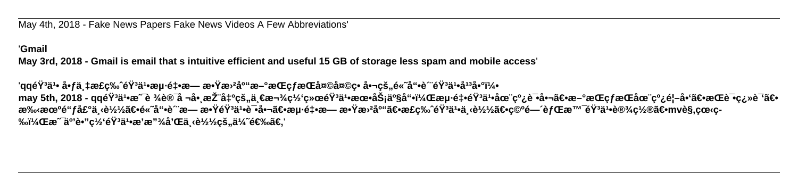May 4th, 2018 - Fake News Papers Fake News Videos A Few Abbreviations'

### '**Gmail**

**May 3rd, 2018 - Gmail is email that s intuitive efficient and useful 15 GB of storage less spam and mobile access**'

'qq韪ä1• 啃äͺ‡æ£ç‰ˆéŸªä1•海釕æ— æ•Ÿæ›²åº"æ–°æŒçƒæŒå¤©å¤©ç• 啬çš"é«~å"•è˝¨éŸªä1•å<sup>13</sup>啰5 may 5th, 2018 - qq韾ä1•æ¯è ¾è®¯å ¬å•¸æŽ¨å‡ºçš"一款网络韾ä1•朕务产å"•,æµ⋅釕韾ä1•在线试啬〕æŒç*f*æŒåœ¨çº¿é¦–å•'〕æŒè¯•翻译〕 æ‰æœºé"ƒå£°ä¸‹è½½ã€•é«~å"•è‴æ— æ•ŸéŸªä1•试啬〕æµ⋅釕æ— æ•Ÿæ›²åº"〕æ£ç‰ˆéŸªä1•下载〕空间背景韪ä1•设置〕mvè§,看ç-**‰ï¼Œæ˜¯äº'è•"ç½'音乕æ'æ"¾å'Œä¸‹è½½çš"优选。**'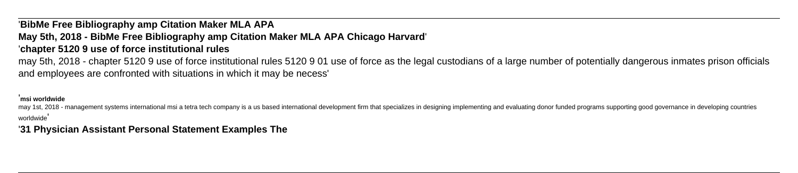# '**BibMe Free Bibliography amp Citation Maker MLA APA**

# **May 5th, 2018 - BibMe Free Bibliography amp Citation Maker MLA APA Chicago Harvard**' '**chapter 5120 9 use of force institutional rules**

may 5th, 2018 - chapter 5120 9 use of force institutional rules 5120 9 01 use of force as the legal custodians of a large number of potentially dangerous inmates prison officials and employees are confronted with situations in which it may be necess'

may 1st, 2018 - management systems international msi a tetra tech company is a us based international development firm that specializes in designing implementing and evaluating donor funded programs supporting good governa worldwide'

### '**msi worldwide**

'**31 Physician Assistant Personal Statement Examples The**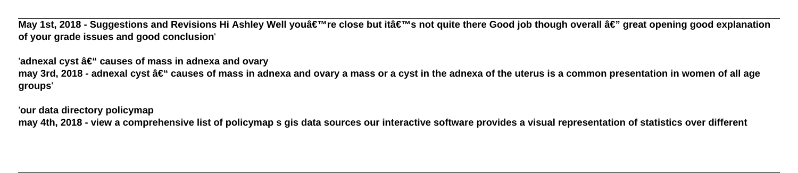May 1st, 2018 - Suggestions and Revisions Hi Ashley Well you're close but it's not quite there Good job though overall â€" great opening good explanation **of your grade issues and good conclusion**'

'adnexal cyst â€" causes of mass in adnexa and ovary may 3rd, 2018 - adnexal cyst – causes of mass in adnexa and ovary a mass or a cyst in the adnexa of the uterus is a common presentation in women of all age **groups**'

'**our data directory policymap may 4th, 2018 - view a comprehensive list of policymap s gis data sources our interactive software provides a visual representation of statistics over different**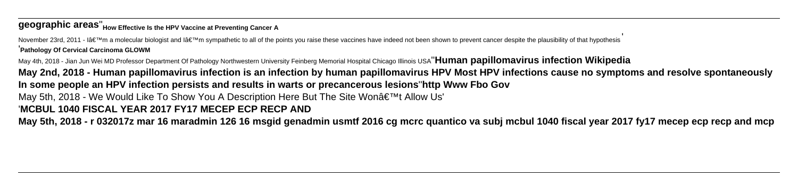# **geographic areas**''**How Effective Is the HPV Vaccine at Preventing Cancer A**

November 23rd, 2011 - I'm a molecular biologist and I'm sympathetic to all of the points you raise these vaccines have indeed not been shown to prevent cancer despite the plausibility of that hypothesis '**Pathology Of Cervical Carcinoma GLOWM**

May 4th, 2018 - Jian Jun Wei MD Professor Department Of Pathology Northwestern University Feinberg Memorial Hospital Chicago Illinois USA''**Human papillomavirus infection Wikipedia**

**May 2nd, 2018 - Human papillomavirus infection is an infection by human papillomavirus HPV Most HPV infections cause no symptoms and resolve spontaneously In some people an HPV infection persists and results in warts or precancerous lesions**''**http Www Fbo Gov** May 5th, 2018 - We Would Like To Show You A Description Here But The Site Won't Allow Us' '**MCBUL 1040 FISCAL YEAR 2017 FY17 MECEP ECP RECP AND May 5th, 2018 - r 032017z mar 16 maradmin 126 16 msgid genadmin usmtf 2016 cg mcrc quantico va subj mcbul 1040 fiscal year 2017 fy17 mecep ecp recp and mcp**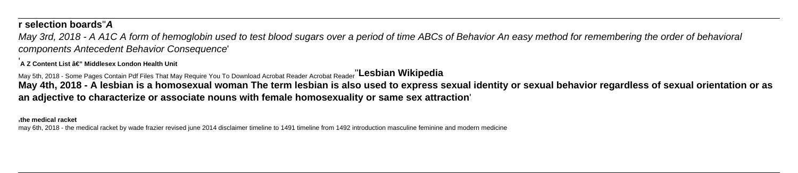## **r selection boards**''**A**

'A Z Content List â€" Middlesex London Health Unit

May 3rd, 2018 - A A1C A form of hemoglobin used to test blood sugars over a period of time ABCs of Behavior An easy method for remembering the order of behavioral components Antecedent Behavior Consequence'

May 5th, 2018 - Some Pages Contain Pdf Files That May Require You To Download Acrobat Reader Acrobat Reader''**Lesbian Wikipedia May 4th, 2018 - A lesbian is a homosexual woman The term lesbian is also used to express sexual identity or sexual behavior regardless of sexual orientation or as an adjective to characterize or associate nouns with female homosexuality or same sex attraction**'

'**the medical racket**

may 6th, 2018 - the medical racket by wade frazier revised june 2014 disclaimer timeline to 1491 timeline from 1492 introduction masculine feminine and modern medicine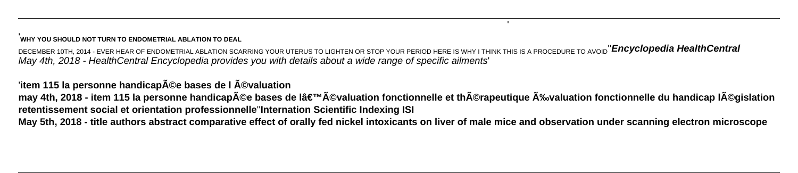### '**WHY YOU SHOULD NOT TURN TO ENDOMETRIAL ABLATION TO DEAL**

DECEMBER 10TH, 2014 - EVER HEAR OF ENDOMETRIAL ABLATION SCARRING YOUR UTERUS TO LIGHTEN OR STOP YOUR PERIOD HERE IS WHY I THINK THIS IS A PROCEDURE TO AVOID''**Encyclopedia HealthCentral** May 4th, 2018 - HealthCentral Encyclopedia provides you with details about a wide range of specific ailments'

'item 115 la personne handicap**©e bases de l ©valuation** may 4th, 2018 - item 115 la personne handicapée bases de l'évaluation fonctionnelle et thérapeutique Évaluation fonctionnelle du handicap Iéqislation **retentissement social et orientation professionnelle**''**Internation Scientific Indexing ISI May 5th, 2018 - title authors abstract comparative effect of orally fed nickel intoxicants on liver of male mice and observation under scanning electron microscope**

'